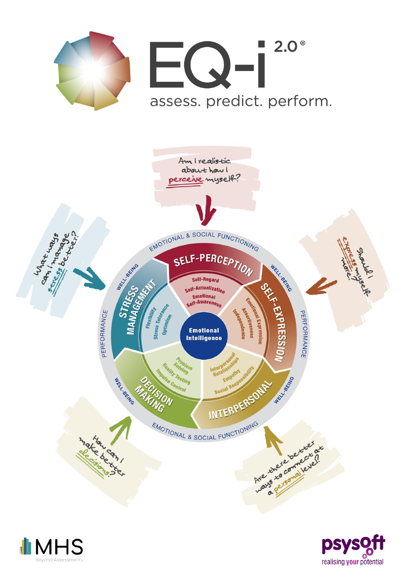





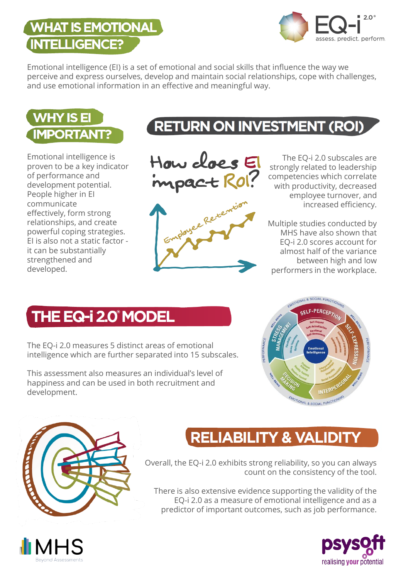#### **WHAT IS EMOTIONAL INTELLIGENCE?**



Emotional intelligence (EI) is a set of emotional and social skills that influence the way we perceive and express ourselves, develop and maintain social relationships, cope with challenges, and use emotional information in an effective and meaningful way.



Emotional intelligence is proven to be a key indicator of performance and development potential. People higher in EI communicate effectively, form strong relationships, and create powerful coping strategies. EI is also not a static factor it can be substantially strengthened and developed.

# RETURN ON INVESTMENT (ROI)





The EQ-i 2.0 subscales are strongly related to leadership competencies which correlate with productivity, decreased employee turnover, and increased efficiency.

Multiple studies conducted by MHS have also shown that EQ-i 2.0 scores account for almost half of the variance between high and low performers in the workplace.

## THE EQ-i 2.0° MODEL

The EQ-i 2.0 measures 5 distinct areas of emotional intelligence which are further separated into 15 subscales.

This assessment also measures an individual's level of happiness and can be used in both recruitment and development.





## **RELIABILITY & VALIDITY**

Overall, the EQ-i 2.0 exhibits strong reliability, so you can always count on the consistency of the tool.

There is also extensive evidence supporting the validity of the EQ-i 2.0 as a measure of emotional intelligence and as a predictor of important outcomes, such as job performance.